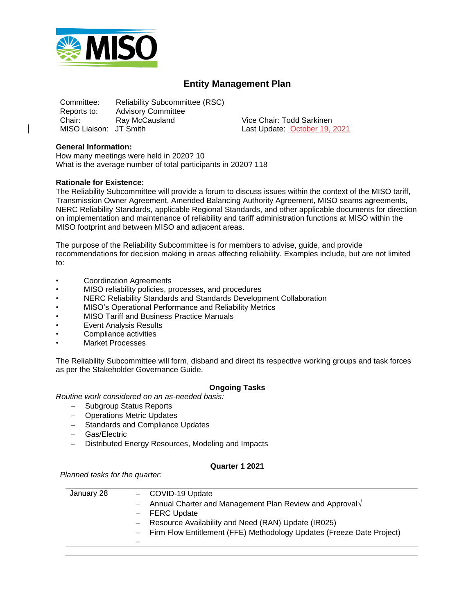

# **Entity Management Plan**

Committee: Reliability Subcommittee (RSC) Reports to: Advisory Committee<br>Chair: Ray McCausland Chair: Ray McCausland Vice Chair: Todd Sarkinen MISO Liaison: JT Smith Last Update: October 19, 2021

#### **General Information:**

How many meetings were held in 2020? 10 What is the average number of total participants in 2020? 118

#### **Rationale for Existence:**

The Reliability Subcommittee will provide a forum to discuss issues within the context of the MISO tariff, Transmission Owner Agreement, Amended Balancing Authority Agreement, MISO seams agreements, NERC Reliability Standards, applicable Regional Standards, and other applicable documents for direction on implementation and maintenance of reliability and tariff administration functions at MISO within the MISO footprint and between MISO and adjacent areas.

The purpose of the Reliability Subcommittee is for members to advise, guide, and provide recommendations for decision making in areas affecting reliability. Examples include, but are not limited to:

- Coordination Agreements
- MISO reliability policies, processes, and procedures
- NERC Reliability Standards and Standards Development Collaboration
- MISO's Operational Performance and Reliability Metrics
- MISO Tariff and Business Practice Manuals
- **Event Analysis Results**
- Compliance activities
- Market Processes

The Reliability Subcommittee will form, disband and direct its respective working groups and task forces as per the Stakeholder Governance Guide.

## **Ongoing Tasks**

*Routine work considered on an as-needed basis:* 

- − Subgroup Status Reports
- − Operations Metric Updates
- − Standards and Compliance Updates
- − Gas/Electric
- − Distributed Energy Resources, Modeling and Impacts

#### **Quarter 1 2021**

*Planned tasks for the quarter:* 

| January 28 | - COVID-19 Update                                                       |
|------------|-------------------------------------------------------------------------|
|            | - Annual Charter and Management Plan Review and Approval $\sqrt{ }$     |
|            | - FERC Update                                                           |
|            | Resource Availability and Need (RAN) Update (IR025)<br>$\frac{1}{2}$    |
|            | - Firm Flow Entitlement (FFE) Methodology Updates (Freeze Date Project) |
|            |                                                                         |
|            |                                                                         |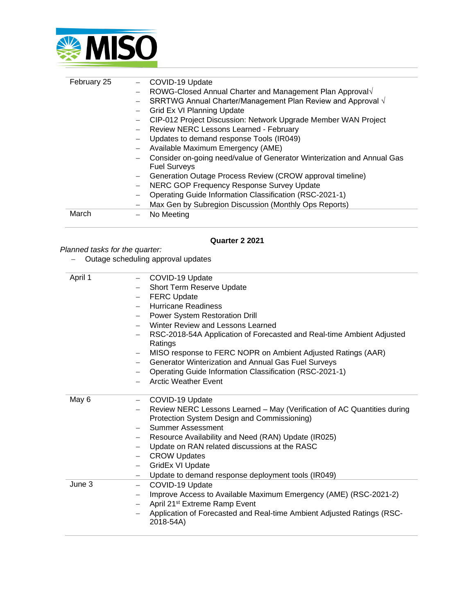

| February 25 | COVID-19 Update                                                        |
|-------------|------------------------------------------------------------------------|
|             | ROWG-Closed Annual Charter and Management Plan Approval                |
|             | SRRTWG Annual Charter/Management Plan Review and Approval √            |
|             | Grid Ex VI Planning Update                                             |
|             | CIP-012 Project Discussion: Network Upgrade Member WAN Project         |
|             | Review NERC Lessons Learned - February                                 |
|             | Updates to demand response Tools (IR049)                               |
|             | Available Maximum Emergency (AME)                                      |
|             | Consider on-going need/value of Generator Winterization and Annual Gas |
|             | <b>Fuel Surveys</b>                                                    |
|             | Generation Outage Process Review (CROW approval timeline)              |
|             | NERC GOP Frequency Response Survey Update                              |
|             | Operating Guide Information Classification (RSC-2021-1)                |
|             | Max Gen by Subregion Discussion (Monthly Ops Reports)                  |
| March       | No Meeting                                                             |

## **Quarter 2 2021**

# *Planned tasks for the quarter:*

− Outage scheduling approval updates

| April 1 | - COVID-19 Update                                                                                                      |
|---------|------------------------------------------------------------------------------------------------------------------------|
|         | Short Term Reserve Update                                                                                              |
|         | <b>FERC Update</b><br>$\overline{\phantom{0}}$                                                                         |
|         | Hurricane Readiness                                                                                                    |
|         | <b>Power System Restoration Drill</b>                                                                                  |
|         | Winter Review and Lessons Learned                                                                                      |
|         | RSC-2018-54A Application of Forecasted and Real-time Ambient Adjusted<br>Ratings                                       |
|         | MISO response to FERC NOPR on Ambient Adjusted Ratings (AAR)                                                           |
|         | Generator Winterization and Annual Gas Fuel Surveys                                                                    |
|         | Operating Guide Information Classification (RSC-2021-1)                                                                |
|         | <b>Arctic Weather Event</b>                                                                                            |
| May 6   | COVID-19 Update<br>$-$                                                                                                 |
|         | Review NERC Lessons Learned - May (Verification of AC Quantities during<br>Protection System Design and Commissioning) |
|         | Summer Assessment                                                                                                      |
|         | Resource Availability and Need (RAN) Update (IR025)<br>$-$                                                             |
|         | Update on RAN related discussions at the RASC<br>$\overline{\phantom{0}}$                                              |
|         | <b>CROW Updates</b>                                                                                                    |
|         | GridEx VI Update<br>$\overline{\phantom{0}}$                                                                           |
|         | Update to demand response deployment tools (IR049)<br>$\overline{\phantom{0}}$                                         |
| June 3  | COVID-19 Update<br>$-$                                                                                                 |
|         | Improve Access to Available Maximum Emergency (AME) (RSC-2021-2)                                                       |
|         | April 21 <sup>st</sup> Extreme Ramp Event<br>$-$                                                                       |
|         | Application of Forecasted and Real-time Ambient Adjusted Ratings (RSC-<br>2018-54A)                                    |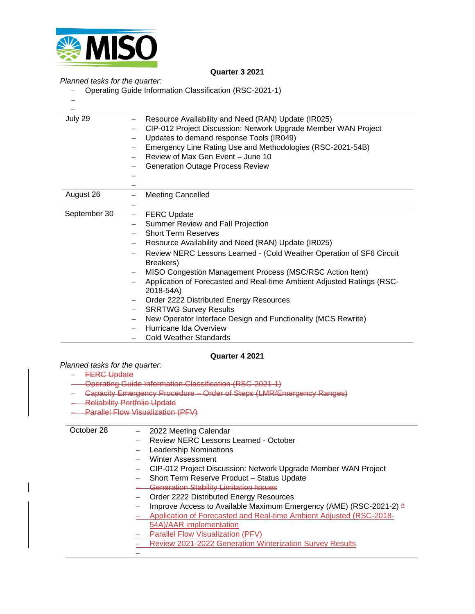

#### **Quarter 3 2021**

### *Planned tasks for the quarter:*

- − Operating Guide Information Classification (RSC-2021-1)
- −

| July 29      | Resource Availability and Need (RAN) Update (IR025)                    |
|--------------|------------------------------------------------------------------------|
|              | CIP-012 Project Discussion: Network Upgrade Member WAN Project         |
|              | Updates to demand response Tools (IR049)                               |
|              | Emergency Line Rating Use and Methodologies (RSC-2021-54B)             |
|              | Review of Max Gen Event - June 10                                      |
|              | <b>Generation Outage Process Review</b>                                |
|              |                                                                        |
|              |                                                                        |
| August 26    | <b>Meeting Cancelled</b><br>$\qquad \qquad -$                          |
|              |                                                                        |
| September 30 | <b>FERC Update</b><br>$\qquad \qquad -$                                |
|              | Summer Review and Fall Projection                                      |
|              | <b>Short Term Reserves</b>                                             |
|              | Resource Availability and Need (RAN) Update (IR025)                    |
|              | Review NERC Lessons Learned - (Cold Weather Operation of SF6 Circuit   |
|              | Breakers)                                                              |
|              | MISO Congestion Management Process (MSC/RSC Action Item)               |
|              | Application of Forecasted and Real-time Ambient Adjusted Ratings (RSC- |
|              | 2018-54A)                                                              |
|              | Order 2222 Distributed Energy Resources                                |
|              | <b>SRRTWG Survey Results</b>                                           |
|              | New Operator Interface Design and Functionality (MCS Rewrite)          |
|              | Hurricane Ida Overview                                                 |
|              | <b>Cold Weather Standards</b>                                          |

## **Quarter 4 2021**

## *Planned tasks for the quarter:*

## − FERC Update

- − Operating Guide Information Classification (RSC-2021-1)
- − Capacity Emergency Procedure Order of Steps (LMR/Emergency Ranges)
- − Reliability Portfolio Update
- − Parallel Flow Visualization (PFV)

| October 28 | 2022 Meeting Calendar                                                        |
|------------|------------------------------------------------------------------------------|
|            | Review NERC Lessons Learned - October                                        |
|            | <b>Leadership Nominations</b>                                                |
|            | <b>Winter Assessment</b>                                                     |
|            | CIP-012 Project Discussion: Network Upgrade Member WAN Project               |
|            | Short Term Reserve Product - Status Update                                   |
|            | <b>Generation Stability Limitation Issues</b>                                |
|            | Order 2222 Distributed Energy Resources                                      |
|            | Improve Access to Available Maximum Emergency (AME) (RSC-2021-2) $\triangle$ |
|            | Application of Forecasted and Real-time Ambient Adjusted (RSC-2018-          |
|            | 54A)/AAR implementation                                                      |
|            | <b>Parallel Flow Visualization (PFV)</b>                                     |
|            | Review 2021-2022 Generation Winterization Survey Results                     |
|            |                                                                              |